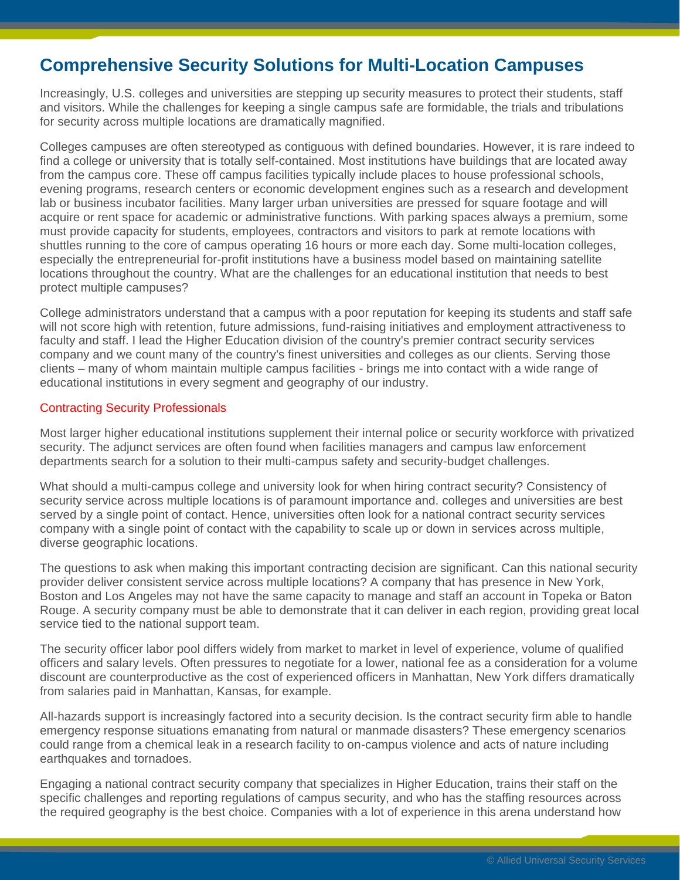# **Comprehensive Security Solutions for Multi-Location Campuses**

Increasingly, U.S. colleges and universities are stepping up security measures to protect their students, staff and visitors. While the challenges for keeping a single campus safe are formidable, the trials and tribulations for security across multiple locations are dramatically magnified.

Colleges campuses are often stereotyped as contiguous with defined boundaries. However, it is rare indeed to find a college or university that is totally self-contained. Most institutions have buildings that are located away from the campus core. These off campus facilities typically include places to house professional schools, evening programs, research centers or economic development engines such as a research and development lab or business incubator facilities. Many larger urban universities are pressed for square footage and will acquire or rent space for academic or administrative functions. With parking spaces always a premium, some must provide capacity for students, employees, contractors and visitors to park at remote locations with shuttles running to the core of campus operating 16 hours or more each day. Some multi-location colleges, especially the entrepreneurial for-profit institutions have a business model based on maintaining satellite locations throughout the country. What are the challenges for an educational institution that needs to best protect multiple campuses?

College administrators understand that a campus with a poor reputation for keeping its students and staff safe will not score high with retention, future admissions, fund-raising initiatives and employment attractiveness to faculty and staff. I lead the Higher Education division of the country's premier contract security services company and we count many of the country's finest universities and colleges as our clients. Serving those clients – many of whom maintain multiple campus facilities - brings me into contact with a wide range of educational institutions in every segment and geography of our industry.

### Contracting Security Professionals

Most larger higher educational institutions supplement their internal police or security workforce with privatized security. The adjunct services are often found when facilities managers and campus law enforcement departments search for a solution to their multi-campus safety and security-budget challenges.

What should a multi-campus college and university look for when hiring contract security? Consistency of security service across multiple locations is of paramount importance and. colleges and universities are best served by a single point of contact. Hence, universities often look for a national contract security services company with a single point of contact with the capability to scale up or down in services across multiple, diverse geographic locations.

The questions to ask when making this important contracting decision are significant. Can this national security provider deliver consistent service across multiple locations? A company that has presence in New York, Boston and Los Angeles may not have the same capacity to manage and staff an account in Topeka or Baton Rouge. A security company must be able to demonstrate that it can deliver in each region, providing great local service tied to the national support team.

The security officer labor pool differs widely from market to market in level of experience, volume of qualified officers and salary levels. Often pressures to negotiate for a lower, national fee as a consideration for a volume discount are counterproductive as the cost of experienced officers in Manhattan, New York differs dramatically from salaries paid in Manhattan, Kansas, for example.

All-hazards support is increasingly factored into a security decision. Is the contract security firm able to handle emergency response situations emanating from natural or manmade disasters? These emergency scenarios could range from a chemical leak in a research facility to on-campus violence and acts of nature including earthquakes and tornadoes.

Engaging a national contract security company that specializes in Higher Education, trains their staff on the specific challenges and reporting regulations of campus security, and who has the staffing resources across the required geography is the best choice. Companies with a lot of experience in this arena understand how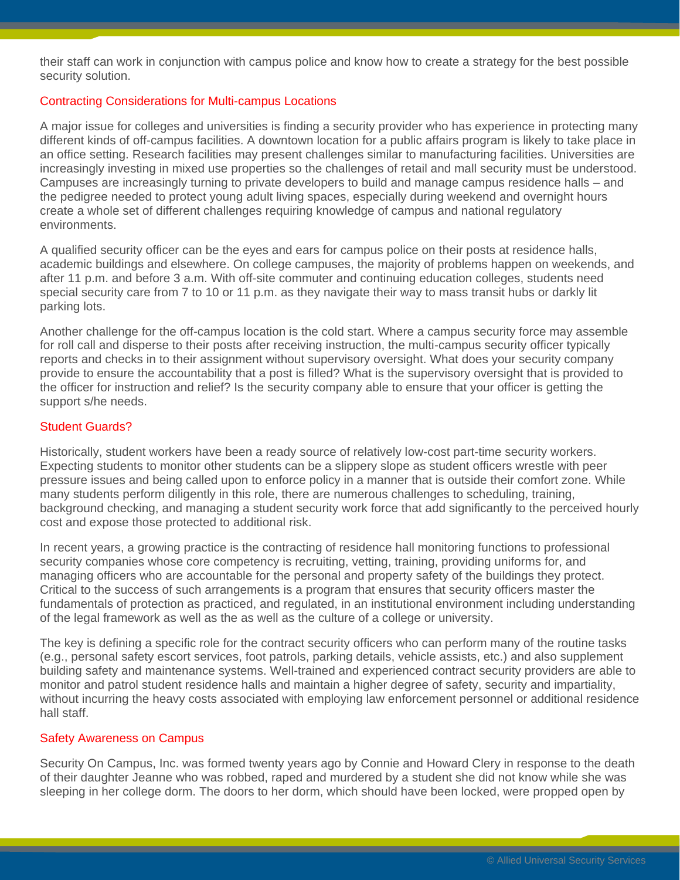their staff can work in conjunction with campus police and know how to create a strategy for the best possible security solution.

## Contracting Considerations for Multi-campus Locations

A major issue for colleges and universities is finding a security provider who has experience in protecting many different kinds of off-campus facilities. A downtown location for a public affairs program is likely to take place in an office setting. Research facilities may present challenges similar to manufacturing facilities. Universities are increasingly investing in mixed use properties so the challenges of retail and mall security must be understood. Campuses are increasingly turning to private developers to build and manage campus residence halls – and the pedigree needed to protect young adult living spaces, especially during weekend and overnight hours create a whole set of different challenges requiring knowledge of campus and national regulatory environments.

A qualified security officer can be the eyes and ears for campus police on their posts at residence halls, academic buildings and elsewhere. On college campuses, the majority of problems happen on weekends, and after 11 p.m. and before 3 a.m. With off-site commuter and continuing education colleges, students need special security care from 7 to 10 or 11 p.m. as they navigate their way to mass transit hubs or darkly lit parking lots.

Another challenge for the off-campus location is the cold start. Where a campus security force may assemble for roll call and disperse to their posts after receiving instruction, the multi-campus security officer typically reports and checks in to their assignment without supervisory oversight. What does your security company provide to ensure the accountability that a post is filled? What is the supervisory oversight that is provided to the officer for instruction and relief? Is the security company able to ensure that your officer is getting the support s/he needs.

#### Student Guards?

Historically, student workers have been a ready source of relatively low-cost part-time security workers. Expecting students to monitor other students can be a slippery slope as student officers wrestle with peer pressure issues and being called upon to enforce policy in a manner that is outside their comfort zone. While many students perform diligently in this role, there are numerous challenges to scheduling, training, background checking, and managing a student security work force that add significantly to the perceived hourly cost and expose those protected to additional risk.

In recent years, a growing practice is the contracting of residence hall monitoring functions to professional security companies whose core competency is recruiting, vetting, training, providing uniforms for, and managing officers who are accountable for the personal and property safety of the buildings they protect. Critical to the success of such arrangements is a program that ensures that security officers master the fundamentals of protection as practiced, and regulated, in an institutional environment including understanding of the legal framework as well as the as well as the culture of a college or university.

The key is defining a specific role for the contract security officers who can perform many of the routine tasks (e.g., personal safety escort services, foot patrols, parking details, vehicle assists, etc.) and also supplement building safety and maintenance systems. Well-trained and experienced contract security providers are able to monitor and patrol student residence halls and maintain a higher degree of safety, security and impartiality, without incurring the heavy costs associated with employing law enforcement personnel or additional residence hall staff.

#### Safety Awareness on Campus

Security On Campus, Inc. was formed twenty years ago by Connie and Howard Clery in response to the death of their daughter Jeanne who was robbed, raped and murdered by a student she did not know while she was sleeping in her college dorm. The doors to her dorm, which should have been locked, were propped open by